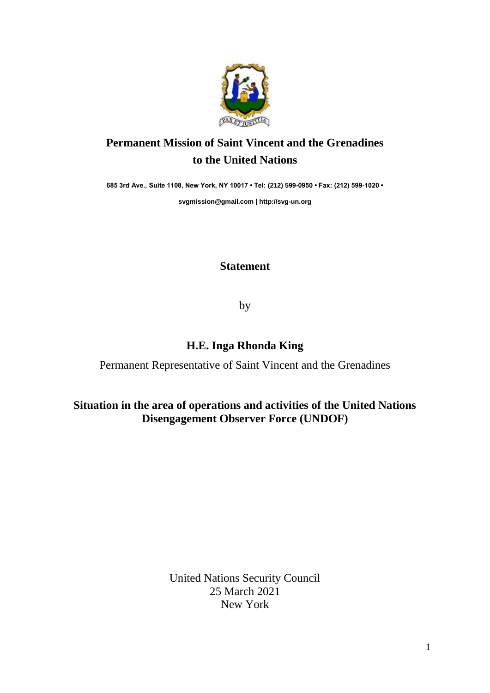

## **Permanent Mission of Saint Vincent and the Grenadines to the United Nations**

**685 3rd Ave., Suite 1108, New York, NY 10017 • Tel: (212) 599-0950 • Fax: (212) 599-1020 •** 

**[svgmission@gmail.com](mailto:svgmission@gmail.com) | [http://svg-un.org](http://svg-un.org/)**

## **Statement**

by

## **H.E. Inga Rhonda King**

Permanent Representative of Saint Vincent and the Grenadines

## **Situation in the area of operations and activities of the United Nations Disengagement Observer Force (UNDOF)**

United Nations Security Council 25 March 2021 New York